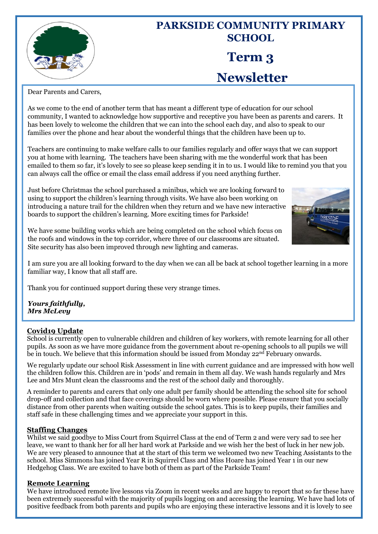

# **PARKSIDE COMMUNITY PRIMARY SCHOOL Term 3 Newsletter**

Dear Parents and Carers,

As we come to the end of another term that has meant a different type of education for our school community, I wanted to acknowledge how supportive and receptive you have been as parents and carers. It has been lovely to welcome the children that we can into the school each day, and also to speak to our families over the phone and hear about the wonderful things that the children have been up to.

Teachers are continuing to make welfare calls to our families regularly and offer ways that we can support you at home with learning. The teachers have been sharing with me the wonderful work that has been emailed to them so far, it's lovely to see so please keep sending it in to us. I would like to remind you that you can always call the office or email the class email address if you need anything further.

Just before Christmas the school purchased a minibus, which we are looking forward to using to support the children's learning through visits. We have also been working on introducing a nature trail for the children when they return and we have new interactive boards to support the children's learning. More exciting times for Parkside!



We have some building works which are being completed on the school which focus on the roofs and windows in the top corridor, where three of our classrooms are situated. Site security has also been improved through new lighting and cameras.

I am sure you are all looking forward to the day when we can all be back at school together learning in a more familiar way, I know that all staff are.

Thank you for continued support during these very strange times.

*Yours faithfully, Mrs McLevy*

# **Covid19 Update**

School is currently open to vulnerable children and children of key workers, with remote learning for all other pupils. As soon as we have more guidance from the government about re-opening schools to all pupils we will be in touch. We believe that this information should be issued from Monday  $22<sup>nd</sup>$  February onwards.

We regularly update our school Risk Assessment in line with current guidance and are impressed with how well the children follow this. Children are in 'pods' and remain in them all day. We wash hands regularly and Mrs Lee and Mrs Munt clean the classrooms and the rest of the school daily and thoroughly.

A reminder to parents and carers that only one adult per family should be attending the school site for school drop-off and collection and that face coverings should be worn where possible. Please ensure that you socially distance from other parents when waiting outside the school gates. This is to keep pupils, their families and staff safe in these challenging times and we appreciate your support in this.

## **Staffing Changes**

Whilst we said goodbye to Miss Court from Squirrel Class at the end of Term 2 and were very sad to see her leave, we want to thank her for all her hard work at Parkside and we wish her the best of luck in her new job. We are very pleased to announce that at the start of this term we welcomed two new Teaching Assistants to the school. Miss Simmons has joined Year R in Squirrel Class and Miss Hoare has joined Year 1 in our new Hedgehog Class. We are excited to have both of them as part of the Parkside Team!

## **Remote Learning**

We have introduced remote live lessons via Zoom in recent weeks and are happy to report that so far these have been extremely successful with the majority of pupils logging on and accessing the learning. We have had lots of positive feedback from both parents and pupils who are enjoying these interactive lessons and it is lovely to see